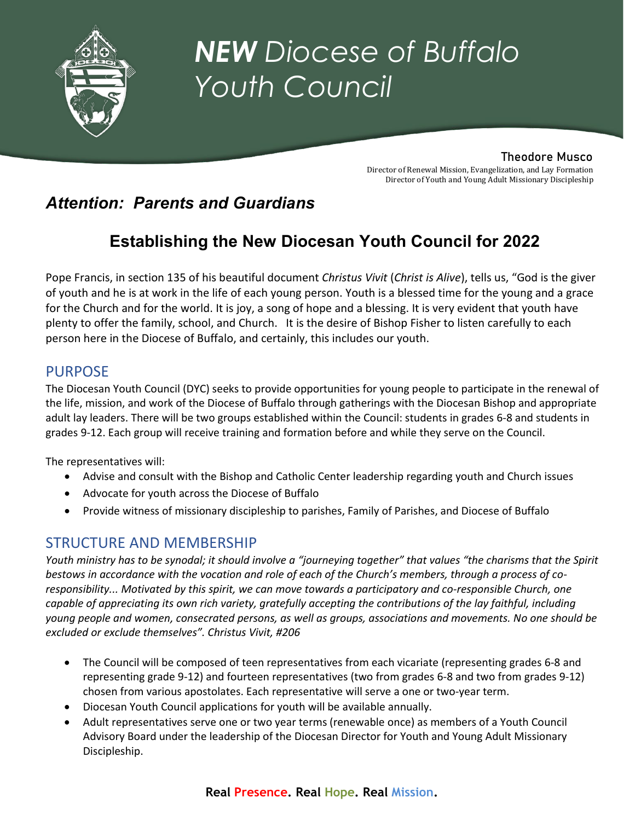

# *NEW Diocese of Buffalo Youth Council*

## Theodore Musco

Director of Renewal Mission, Evangelization, and Lay Formation Director of Youth and Young Adult Missionary Discipleship

# *Attention: Parents and Guardians*

# **Establishing the New Diocesan Youth Council for 2022**

Pope Francis, in section 135 of his beautiful document *Christus Vivit* (*Christ is Alive*), tells us, "God is the giver of youth and he is at work in the life of each young person. Youth is a blessed time for the young and a grace for the Church and for the world. It is joy, a song of hope and a blessing. It is very evident that youth have plenty to offer the family, school, and Church. It is the desire of Bishop Fisher to listen carefully to each person here in the Diocese of Buffalo, and certainly, this includes our youth.

## PURPOSE

The Diocesan Youth Council (DYC) seeks to provide opportunities for young people to participate in the renewal of the life, mission, and work of the Diocese of Buffalo through gatherings with the Diocesan Bishop and appropriate adult lay leaders. There will be two groups established within the Council: students in grades 6-8 and students in grades 9-12. Each group will receive training and formation before and while they serve on the Council.

The representatives will:

- Advise and consult with the Bishop and Catholic Center leadership regarding youth and Church issues
- Advocate for youth across the Diocese of Buffalo
- Provide witness of missionary discipleship to parishes, Family of Parishes, and Diocese of Buffalo

## STRUCTURE AND MEMBERSHIP

*Youth ministry has to be synodal; it should involve a "journeying together" that values "the charisms that the Spirit bestows in accordance with the vocation and role of each of the Church's members, through a process of co*responsibility... Motivated by this spirit, we can move towards a participatory and co-responsible Church, one *capable of appreciating its own rich variety, gratefully accepting the contributions of the lay faithful, including young people and women, consecrated persons, as well as groups, associations and movements. No one should be excluded or exclude themselves". Christus Vivit, #206*

- The Council will be composed of teen representatives from each vicariate (representing grades 6-8 and representing grade 9-12) and fourteen representatives (two from grades 6-8 and two from grades 9-12) chosen from various apostolates. Each representative will serve a one or two-year term.
- Diocesan Youth Council applications for youth will be available annually.
- Adult representatives serve one or two year terms (renewable once) as members of a Youth Council Advisory Board under the leadership of the Diocesan Director for Youth and Young Adult Missionary Discipleship.